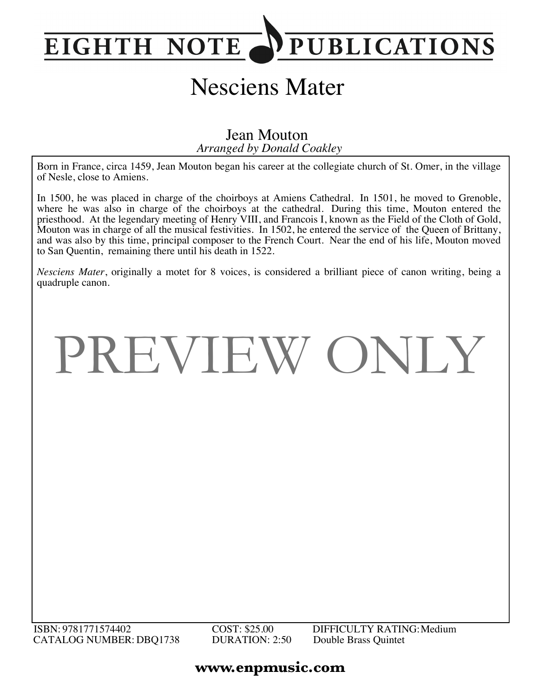## PUBLICATIONS **EIGHTH NOTE**

## Nesciens Mater

*Arranged by Donald Coakley* Jean Mouton

Born in France, circa 1459, Jean Mouton began his career at the collegiate church of St. Omer, in the village of Nesle, close to Amiens.

In 1500, he was placed in charge of the choirboys at Amiens Cathedral. In 1501, he moved to Grenoble, where he was also in charge of the choirboys at the cathedral. During this time, Mouton entered the priesthood. At the legendary meeting of Henry VIII, and Francois I, known as the Field of the Cloth of Gold, Mouton was in charge of all the musical festivities. In 1502, he entered the service of the Queen of Brittany, and was also by this time, principal composer to the French Court. Near the end of his life, Mouton moved to San Quentin, remaining there until his death in 1522.

*Nesciens Mater*, originally a motet for 8 voices, is considered a brilliant piece of canon writing, being a quadruple canon.

PREVIEW ONLY

## ISBN: 9781771574402 COST: \$25.00 DIFFICULTY RATING:Medium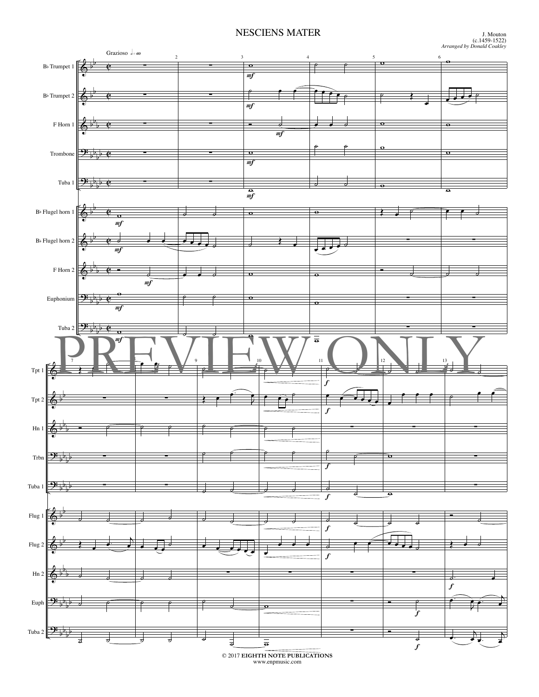## NESCIENS MATER



© 2017 **EIGHTH NOTE PUBLICATIONS** www.enpmusic.com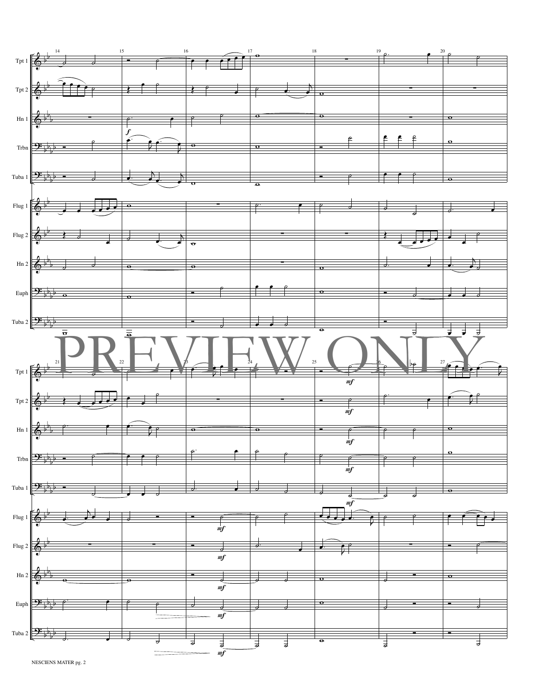

NESCIENS MATER pg. 2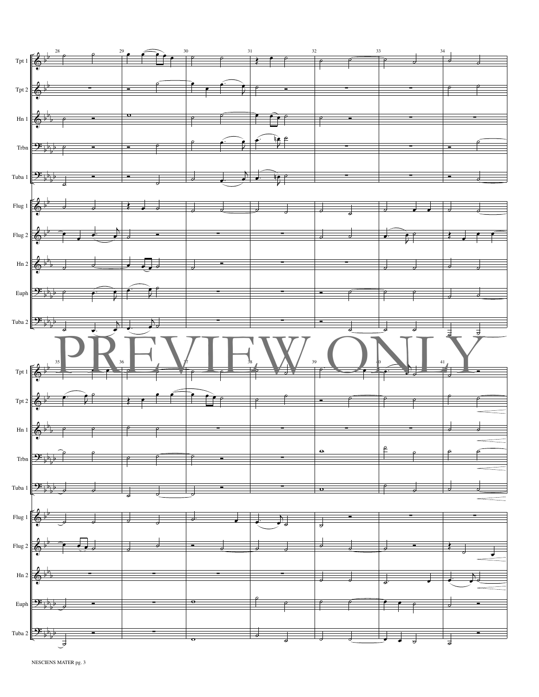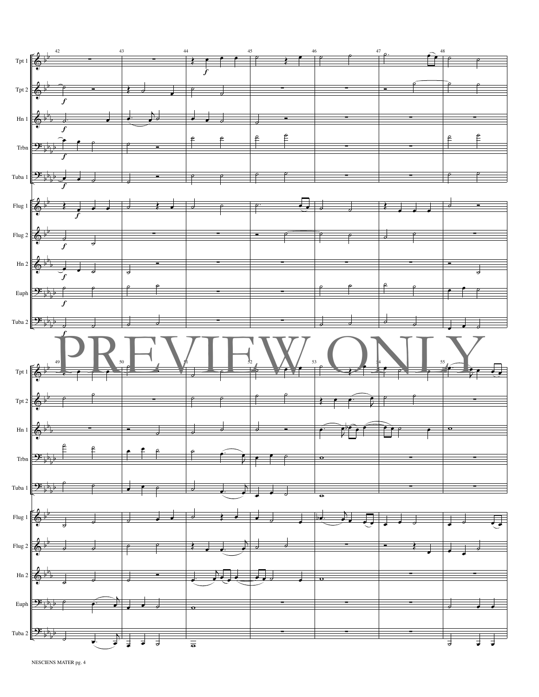

NESCIENS MATER pg. 4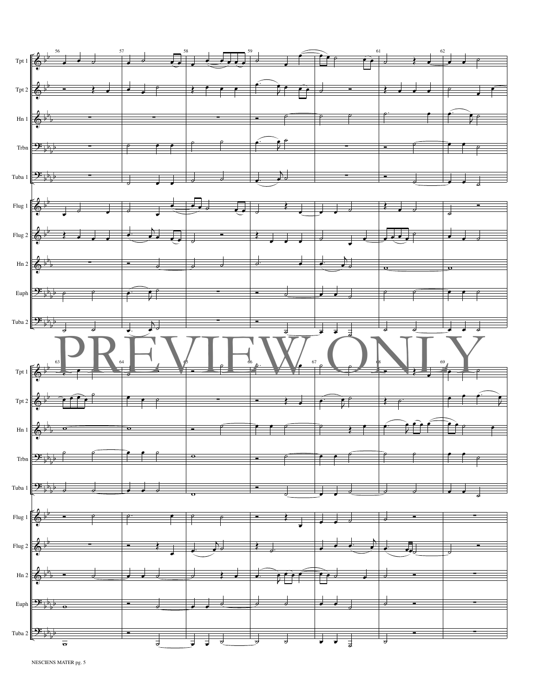

NESCIENS MATER pg. 5